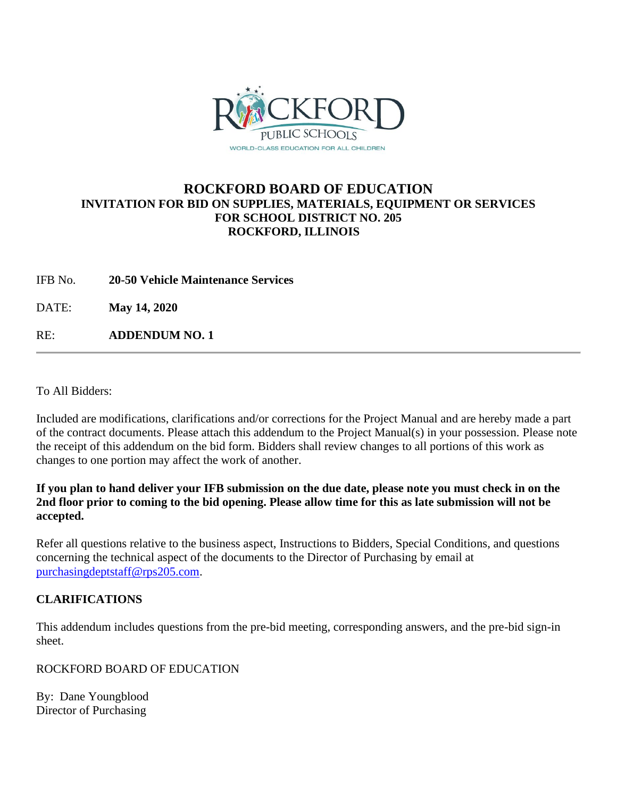

## **ROCKFORD BOARD OF EDUCATION INVITATION FOR BID ON SUPPLIES, MATERIALS, EQUIPMENT OR SERVICES FOR SCHOOL DISTRICT NO. 205 ROCKFORD, ILLINOIS**

IFB No. **20-50 Vehicle Maintenance Services**

DATE: **May 14, 2020**

RE: **ADDENDUM NO. 1**

To All Bidders:

Included are modifications, clarifications and/or corrections for the Project Manual and are hereby made a part of the contract documents. Please attach this addendum to the Project Manual(s) in your possession. Please note the receipt of this addendum on the bid form. Bidders shall review changes to all portions of this work as changes to one portion may affect the work of another.

**If you plan to hand deliver your IFB submission on the due date, please note you must check in on the 2nd floor prior to coming to the bid opening. Please allow time for this as late submission will not be accepted.**

Refer all questions relative to the business aspect, Instructions to Bidders, Special Conditions, and questions concerning the technical aspect of the documents to the Director of Purchasing by email at [purchasingdeptstaff@rps205.com.](mailto:purchasingdeptstaff@rps205.com)

### **CLARIFICATIONS**

This addendum includes questions from the pre-bid meeting, corresponding answers, and the pre-bid sign-in sheet.

ROCKFORD BOARD OF EDUCATION

By: Dane Youngblood Director of Purchasing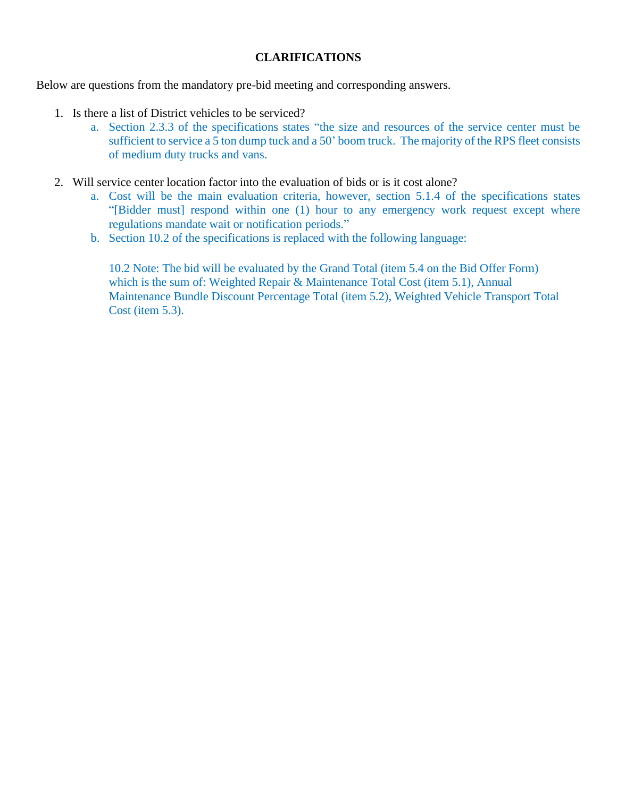#### **CLARIFICATIONS**

Below are questions from the mandatory pre-bid meeting and corresponding answers.

- 1. Is there a list of District vehicles to be serviced?
	- a. Section 2.3.3 of the specifications states "the size and resources of the service center must be sufficient to service a 5 ton dump tuck and a 50' boom truck. The majority of the RPS fleet consists of medium duty trucks and vans.
- 2. Will service center location factor into the evaluation of bids or is it cost alone?
	- a. Cost will be the main evaluation criteria, however, section 5.1.4 of the specifications states "[Bidder must] respond within one (1) hour to any emergency work request except where regulations mandate wait or notification periods."
	- b. Section 10.2 of the specifications is replaced with the following language:

10.2 Note: The bid will be evaluated by the Grand Total (item 5.4 on the Bid Offer Form) which is the sum of: Weighted Repair & Maintenance Total Cost (item 5.1), Annual Maintenance Bundle Discount Percentage Total (item 5.2), Weighted Vehicle Transport Total Cost (item 5.3).